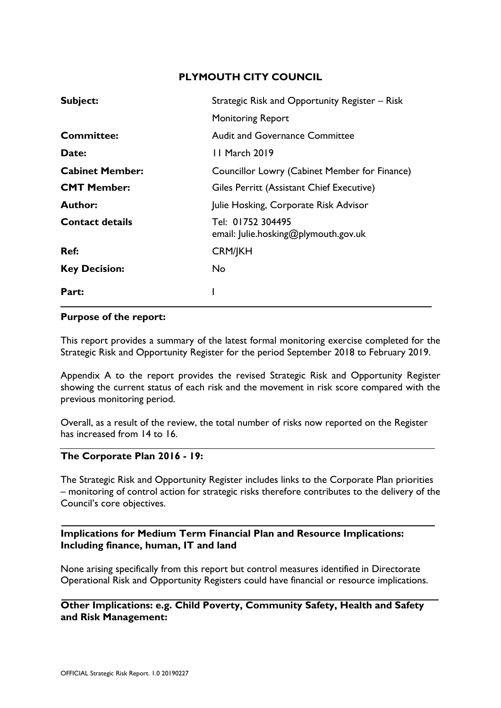# **PLYMOUTH CITY COUNCIL**

| Subject:               | Strategic Risk and Opportunity Register - Risk            |  |  |  |  |  |  |
|------------------------|-----------------------------------------------------------|--|--|--|--|--|--|
|                        | <b>Monitoring Report</b>                                  |  |  |  |  |  |  |
| <b>Committee:</b>      | <b>Audit and Governance Committee</b>                     |  |  |  |  |  |  |
| Date:                  | 11 March 2019                                             |  |  |  |  |  |  |
| <b>Cabinet Member:</b> | Councillor Lowry (Cabinet Member for Finance)             |  |  |  |  |  |  |
| <b>CMT Member:</b>     | Giles Perritt (Assistant Chief Executive)                 |  |  |  |  |  |  |
| <b>Author:</b>         | Julie Hosking, Corporate Risk Advisor                     |  |  |  |  |  |  |
| <b>Contact details</b> | Tel: 01752 304495<br>email: Julie.hosking@plymouth.gov.uk |  |  |  |  |  |  |
| Ref:                   | <b>CRM/JKH</b>                                            |  |  |  |  |  |  |
| <b>Key Decision:</b>   | No.                                                       |  |  |  |  |  |  |
| Part:                  |                                                           |  |  |  |  |  |  |

#### **Purpose of the report:**

This report provides a summary of the latest formal monitoring exercise completed for the Strategic Risk and Opportunity Register for the period September 2018 to February 2019.

Appendix A to the report provides the revised Strategic Risk and Opportunity Register showing the current status of each risk and the movement in risk score compared with the previous monitoring period.

Overall, as a result of the review, the total number of risks now reported on the Register has increased from 14 to 16.

#### **The Corporate Plan 2016 - 19:**

The Strategic Risk and Opportunity Register includes links to the Corporate Plan priorities – monitoring of control action for strategic risks therefore contributes to the delivery of the Council's core objectives.

### **Implications for Medium Term Financial Plan and Resource Implications: Including finance, human, IT and land**

None arising specifically from this report but control measures identified in Directorate Operational Risk and Opportunity Registers could have financial or resource implications.

**Other Implications: e.g. Child Poverty, Community Safety, Health and Safety and Risk Management:**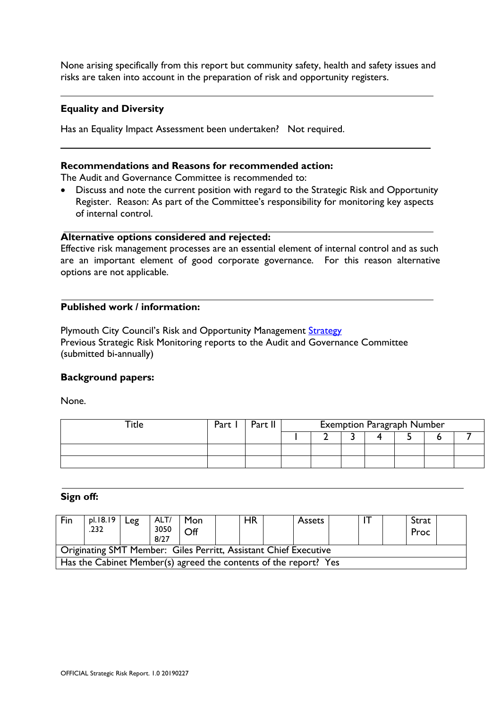None arising specifically from this report but community safety, health and safety issues and risks are taken into account in the preparation of risk and opportunity registers.

### **Equality and Diversity**

-

Has an Equality Impact Assessment been undertaken? Not required.

#### **Recommendations and Reasons for recommended action:**

The Audit and Governance Committee is recommended to:

 Discuss and note the current position with regard to the Strategic Risk and Opportunity Register. Reason: As part of the Committee's responsibility for monitoring key aspects of internal control.

### **Alternative options considered and rejected:**

Effective risk management processes are an essential element of internal control and as such are an important element of good corporate governance. For this reason alternative options are not applicable.

#### **Published work / information:**

Plymouth City Council's Risk and Opportunity Management [Strategy](http://documentlibrary.plymcc.local/documents/Risk_and_Opportunity_Management_Strategy.pdf) Previous Strategic Risk Monitoring reports to the Audit and Governance Committee (submitted bi-annually)

#### **Background papers:**

None.

| $t$ itle | Part | $-$ nt <sup>11</sup> | <b>Exemption Paragraph Number</b> |  |  |  |  |  |  |  |  |  |  |  |  |
|----------|------|----------------------|-----------------------------------|--|--|--|--|--|--|--|--|--|--|--|--|
|          |      |                      |                                   |  |  |  |  |  |  |  |  |  |  |  |  |
|          |      |                      |                                   |  |  |  |  |  |  |  |  |  |  |  |  |
|          |      |                      |                                   |  |  |  |  |  |  |  |  |  |  |  |  |

#### **Sign off:**

| Fin                                                              | pl.18.19<br>.232 | Leg | ALT/<br>3050<br>8/27 | l Mon<br>Off |  | <b>HR</b> |  | <b>Assets</b> |  |  |  | Strat<br>Proc |  |
|------------------------------------------------------------------|------------------|-----|----------------------|--------------|--|-----------|--|---------------|--|--|--|---------------|--|
| Originating SMT Member: Giles Perritt, Assistant Chief Executive |                  |     |                      |              |  |           |  |               |  |  |  |               |  |
| Has the Cabinet Member(s) agreed the contents of the report? Yes |                  |     |                      |              |  |           |  |               |  |  |  |               |  |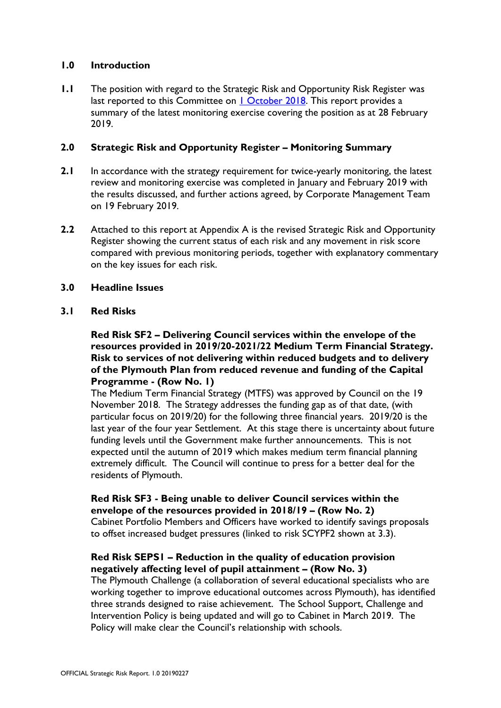### **1.0 Introduction**

**1.1** The position with regard to the Strategic Risk and Opportunity Risk Register was last reported to this Committee on [1 October 2018.](http://web.plymouth.gov.uk/modgov?modgovlink=http%3A%2F%2Fdemocracy.plymouth.gov.uk%2FieListDocuments.aspx%3FCId%3D249%26amp%3BMId%3D8004%26amp%3BVer%3D4) This report provides a summary of the latest monitoring exercise covering the position as at 28 February 2019.

#### **2.0 Strategic Risk and Opportunity Register – Monitoring Summary**

- **2.1** In accordance with the strategy requirement for twice-yearly monitoring, the latest review and monitoring exercise was completed in January and February 2019 with the results discussed, and further actions agreed, by Corporate Management Team on 19 February 2019.
- **2.2** Attached to this report at Appendix A is the revised Strategic Risk and Opportunity Register showing the current status of each risk and any movement in risk score compared with previous monitoring periods, together with explanatory commentary on the key issues for each risk.

### **3.0 Headline Issues**

### **3.1 Red Risks**

### **Red Risk SF2 – Delivering Council services within the envelope of the resources provided in 2019/20-2021/22 Medium Term Financial Strategy. Risk to services of not delivering within reduced budgets and to delivery of the Plymouth Plan from reduced revenue and funding of the Capital Programme - (Row No. 1)**

The Medium Term Financial Strategy (MTFS) was approved by Council on the 19 November 2018. The Strategy addresses the funding gap as of that date, (with particular focus on 2019/20) for the following three financial years. 2019/20 is the last year of the four year Settlement. At this stage there is uncertainty about future funding levels until the Government make further announcements. This is not expected until the autumn of 2019 which makes medium term financial planning extremely difficult. The Council will continue to press for a better deal for the residents of Plymouth.

# **Red Risk SF3 - Being unable to deliver Council services within the envelope of the resources provided in 2018/19 – (Row No. 2)**

Cabinet Portfolio Members and Officers have worked to identify savings proposals to offset increased budget pressures (linked to risk SCYPF2 shown at 3.3).

# **Red Risk SEPS1 – Reduction in the quality of education provision negatively affecting level of pupil attainment – (Row No. 3)**

The Plymouth Challenge (a collaboration of several educational specialists who are working together to improve educational outcomes across Plymouth), has identified three strands designed to raise achievement. The School Support, Challenge and Intervention Policy is being updated and will go to Cabinet in March 2019. The Policy will make clear the Council's relationship with schools.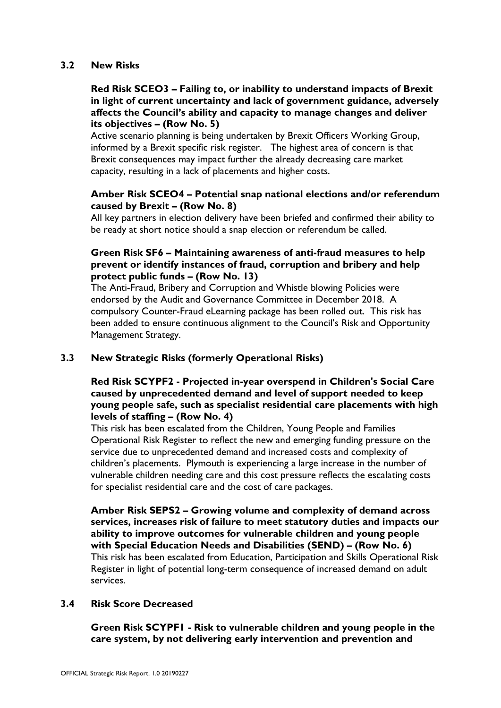#### **3.2 New Risks**

# **Red Risk SCEO3 – Failing to, or inability to understand impacts of Brexit in light of current uncertainty and lack of government guidance, adversely affects the Council's ability and capacity to manage changes and deliver its objectives – (Row No. 5)**

Active scenario planning is being undertaken by Brexit Officers Working Group, informed by a Brexit specific risk register. The highest area of concern is that Brexit consequences may impact further the already decreasing care market capacity, resulting in a lack of placements and higher costs.

# **Amber Risk SCEO4 – Potential snap national elections and/or referendum caused by Brexit – (Row No. 8)**

All key partners in election delivery have been briefed and confirmed their ability to be ready at short notice should a snap election or referendum be called.

# **Green Risk SF6 – Maintaining awareness of anti-fraud measures to help prevent or identify instances of fraud, corruption and bribery and help protect public funds – (Row No. 13)**

The Anti-Fraud, Bribery and Corruption and Whistle blowing Policies were endorsed by the Audit and Governance Committee in December 2018. A compulsory Counter-Fraud eLearning package has been rolled out. This risk has been added to ensure continuous alignment to the Council's Risk and Opportunity Management Strategy.

# **3.3 New Strategic Risks (formerly Operational Risks)**

# **Red Risk SCYPF2 - Projected in-year overspend in Children's Social Care caused by unprecedented demand and level of support needed to keep young people safe, such as specialist residential care placements with high levels of staffing – (Row No. 4)**

This risk has been escalated from the Children, Young People and Families Operational Risk Register to reflect the new and emerging funding pressure on the service due to unprecedented demand and increased costs and complexity of children's placements. Plymouth is experiencing a large increase in the number of vulnerable children needing care and this cost pressure reflects the escalating costs for specialist residential care and the cost of care packages.

**Amber Risk SEPS2 – Growing volume and complexity of demand across services, increases risk of failure to meet statutory duties and impacts our ability to improve outcomes for vulnerable children and young people with Special Education Needs and Disabilities (SEND) – (Row No. 6)** This risk has been escalated from Education, Participation and Skills Operational Risk Register in light of potential long-term consequence of increased demand on adult services.

# **3.4 Risk Score Decreased**

**Green Risk SCYPF1 - Risk to vulnerable children and young people in the care system, by not delivering early intervention and prevention and**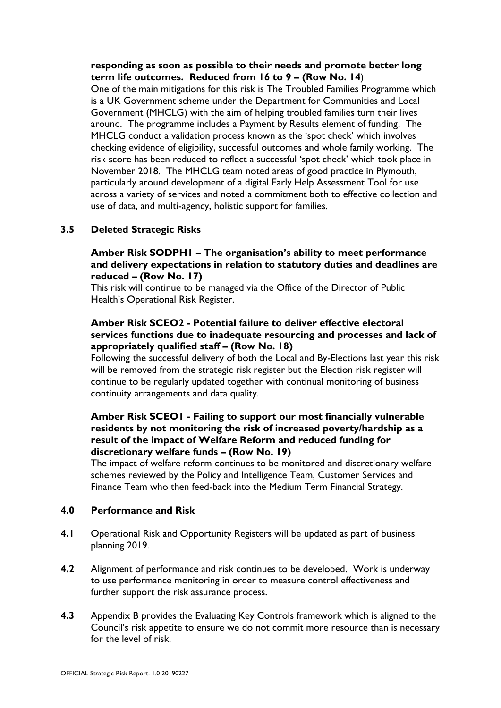**responding as soon as possible to their needs and promote better long term life outcomes. Reduced from 16 to 9 – (Row No. 14**)

One of the main mitigations for this risk is The Troubled Families Programme which is a UK Government scheme under the Department for Communities and Local Government (MHCLG) with the aim of helping troubled families turn their lives around. The programme includes a Payment by Results element of funding. The MHCLG conduct a validation process known as the 'spot check' which involves checking evidence of eligibility, successful outcomes and whole family working. The risk score has been reduced to reflect a successful 'spot check' which took place in November 2018. The MHCLG team noted areas of good practice in Plymouth, particularly around development of a digital Early Help Assessment Tool for use across a variety of services and noted a commitment both to effective collection and use of data, and multi-agency, holistic support for families.

# **3.5 Deleted Strategic Risks**

### **Amber Risk SODPH1 – The organisation's ability to meet performance and delivery expectations in relation to statutory duties and deadlines are reduced – (Row No. 17)**

This risk will continue to be managed via the Office of the Director of Public Health's Operational Risk Register.

### **Amber Risk SCEO2 - Potential failure to deliver effective electoral services functions due to inadequate resourcing and processes and lack of appropriately qualified staff – (Row No. 18)**

Following the successful delivery of both the Local and By-Elections last year this risk will be removed from the strategic risk register but the Election risk register will continue to be regularly updated together with continual monitoring of business continuity arrangements and data quality.

### **Amber Risk SCEO1 - Failing to support our most financially vulnerable residents by not monitoring the risk of increased poverty/hardship as a result of the impact of Welfare Reform and reduced funding for discretionary welfare funds – (Row No. 19)**

The impact of welfare reform continues to be monitored and discretionary welfare schemes reviewed by the Policy and Intelligence Team, Customer Services and Finance Team who then feed-back into the Medium Term Financial Strategy.

#### **4.0 Performance and Risk**

- **4.1** Operational Risk and Opportunity Registers will be updated as part of business planning 2019.
- **4.2** Alignment of performance and risk continues to be developed. Work is underway to use performance monitoring in order to measure control effectiveness and further support the risk assurance process.
- **4.3** Appendix B provides the Evaluating Key Controls framework which is aligned to the Council's risk appetite to ensure we do not commit more resource than is necessary for the level of risk.